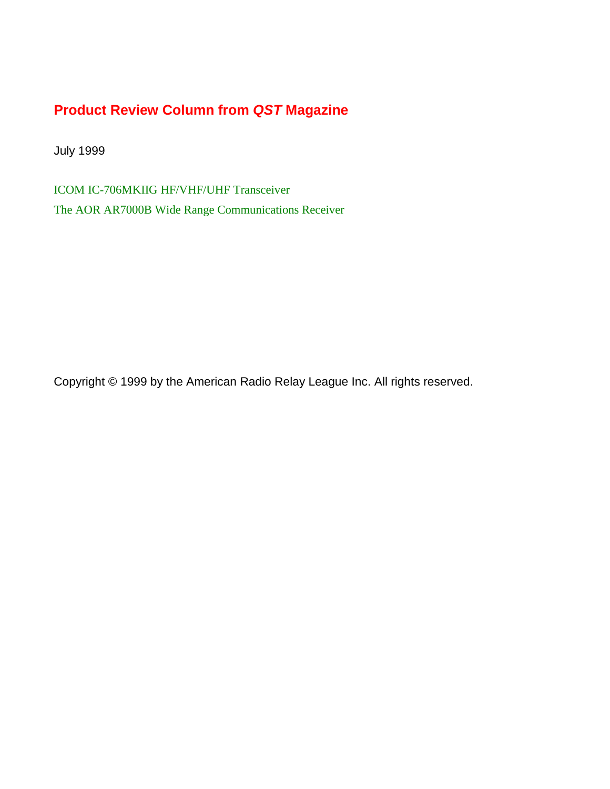# **Product Review Column from QST Magazine**

July 1999

[ICOM IC-706MKIIG HF/VHF/UHF Transceiver](#page-1-0) [The AOR AR7000B Wide Range Communications Receiver](#page-5-0)

Copyright © 1999 by the American Radio Relay League Inc. All rights reserved.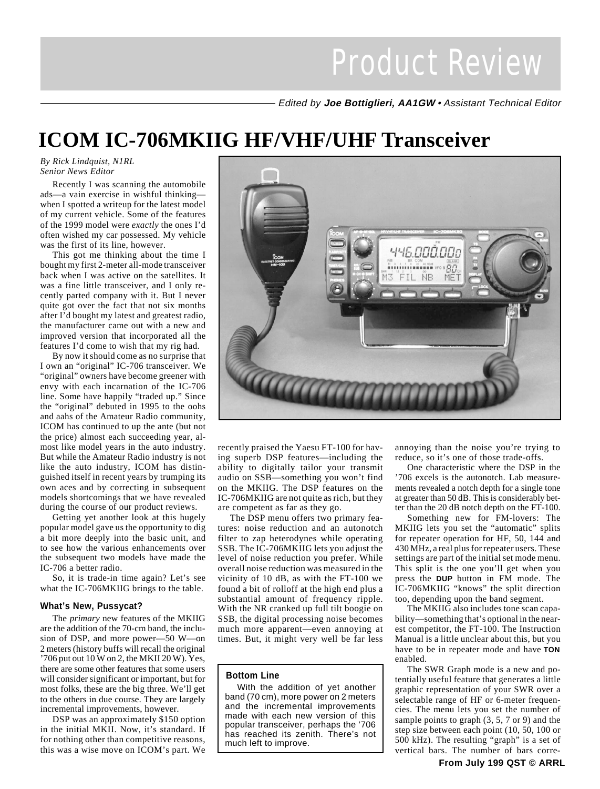Edited by **Joe Bottiglieri, AA1GW** • Assistant Technical Editor

# <span id="page-1-0"></span>**ICOM IC-706MKIIG HF/VHF/UHF Transceiver**

#### *By Rick Lindquist, N1RL Senior News Editor*

Recently I was scanning the automobile ads—a vain exercise in wishful thinking when I spotted a writeup for the latest model of my current vehicle. Some of the features of the 1999 model were *exactly* the ones I'd often wished my car possessed. My vehicle was the first of its line, however.

This got me thinking about the time I bought my first 2-meter all-mode transceiver back when I was active on the satellites. It was a fine little transceiver, and I only recently parted company with it. But I never quite got over the fact that not six months after I'd bought my latest and greatest radio, the manufacturer came out with a new and improved version that incorporated all the features I'd come to wish that my rig had.

By now it should come as no surprise that I own an "original" IC-706 transceiver. We "original" owners have become greener with envy with each incarnation of the IC-706 line. Some have happily "traded up." Since the "original" debuted in 1995 to the oohs and aahs of the Amateur Radio community, ICOM has continued to up the ante (but not the price) almost each succeeding year, almost like model years in the auto industry. But while the Amateur Radio industry is not like the auto industry, ICOM has distinguished itself in recent years by trumping its own aces and by correcting in subsequent models shortcomings that we have revealed during the course of our product reviews.

Getting yet another look at this hugely popular model gave us the opportunity to dig a bit more deeply into the basic unit, and to see how the various enhancements over the subsequent two models have made the IC-706 a better radio.

So, it is trade-in time again? Let's see what the IC-706MKIIG brings to the table.

#### **What's New, Pussycat?**

The *primary* new features of the MKIIG are the addition of the 70-cm band, the inclusion of DSP, and more power—50 W—on 2 meters (history buffs will recall the original '706 put out 10 W on 2, the MKII 20 W). Yes, there are some other features that some users will consider significant or important, but for most folks, these are the big three. We'll get to the others in due course. They are largely incremental improvements, however.

DSP was an approximately \$150 option in the initial MKII. Now, it's standard. If for nothing other than competitive reasons, this was a wise move on ICOM's part. We



recently praised the Yaesu FT-100 for having superb DSP features—including the ability to digitally tailor your transmit audio on SSB—something you won't find on the MKIIG. The DSP features on the IC-706MKIIG are not quite as rich, but they are competent as far as they go.

The DSP menu offers two primary features: noise reduction and an autonotch filter to zap heterodynes while operating SSB. The IC-706MKIIG lets you adjust the level of noise reduction you prefer. While overall noise reduction was measured in the vicinity of 10 dB, as with the FT-100 we found a bit of rolloff at the high end plus a substantial amount of frequency ripple. With the NR cranked up full tilt boogie on SSB, the digital processing noise becomes much more apparent—even annoying at times. But, it might very well be far less

#### **Bottom Line**

With the addition of yet another band (70 cm), more power on 2 meters and the incremental improvements made with each new version of this popular transceiver, perhaps the '706 has reached its zenith. There's not much left to improve.

annoying than the noise you're trying to reduce, so it's one of those trade-offs.

One characteristic where the DSP in the '706 excels is the autonotch. Lab measurements revealed a notch depth for a single tone at greater than 50 dB. This is considerably better than the 20 dB notch depth on the FT-100.

Something new for FM-lovers: The MKIIG lets you set the "automatic" splits for repeater operation for HF, 50, 144 and 430 MHz, a real plus for repeater users. These settings are part of the initial set mode menu. This split is the one you'll get when you press the **DUP** button in FM mode. The IC-706MKIIG "knows" the split direction too, depending upon the band segment.

The MKIIG also includes tone scan capability—something that's optional in the nearest competitor, the FT-100. The Instruction Manual is a little unclear about this, but you have to be in repeater mode and have **TON** enabled.

The SWR Graph mode is a new and potentially useful feature that generates a little graphic representation of your SWR over a selectable range of HF or 6-meter frequencies. The menu lets you set the number of sample points to graph (3, 5, 7 or 9) and the step size between each point (10, 50, 100 or 500 kHz). The resulting "graph" is a set of vertical bars. The number of bars corre-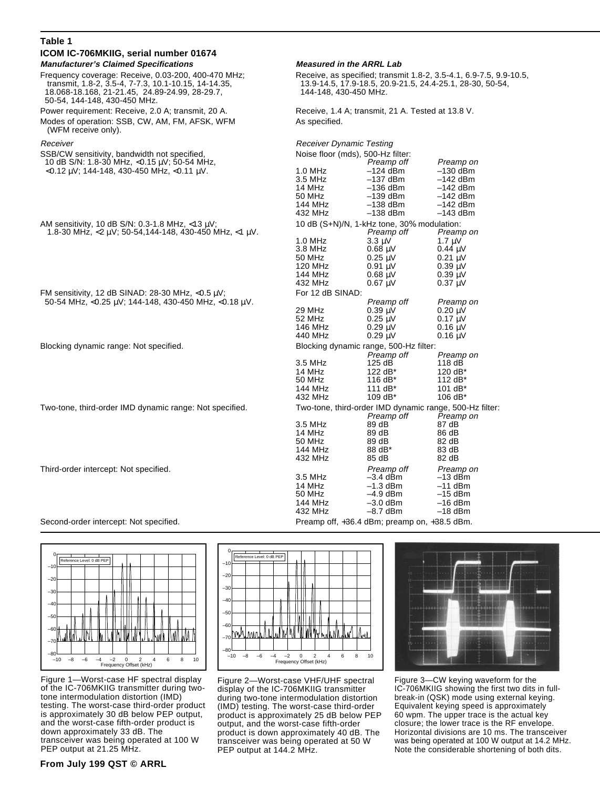| Table 1                                                                                                                                                                                       |                                                                                                                                                          |                                                                                                                                              |                                                                                             |  |
|-----------------------------------------------------------------------------------------------------------------------------------------------------------------------------------------------|----------------------------------------------------------------------------------------------------------------------------------------------------------|----------------------------------------------------------------------------------------------------------------------------------------------|---------------------------------------------------------------------------------------------|--|
| ICOM IC-706MKIIG, serial number 01674                                                                                                                                                         |                                                                                                                                                          |                                                                                                                                              |                                                                                             |  |
| <b>Manufacturer's Claimed Specifications</b>                                                                                                                                                  | <b>Measured in the ARRL Lab</b>                                                                                                                          |                                                                                                                                              |                                                                                             |  |
| Frequency coverage: Receive, 0.03-200, 400-470 MHz;<br>transmit, 1.8-2, 3.5-4, 7-7.3, 10.1-10.15, 14-14.35,<br>18.068-18.168, 21-21.45, 24.89-24.99, 28-29.7,<br>50-54, 144-148, 430-450 MHz. | Receive, as specified; transmit 1.8-2, 3.5-4.1, 6.9-7.5, 9.9-10.5,<br>13.9-14.5, 17.9-18.5, 20.9-21.5, 24.4-25.1, 28-30, 50-54,<br>144-148, 430-450 MHz. |                                                                                                                                              |                                                                                             |  |
| Power requirement: Receive, 2.0 A; transmit, 20 A.                                                                                                                                            | Receive, 1.4 A; transmit, 21 A. Tested at 13.8 V.                                                                                                        |                                                                                                                                              |                                                                                             |  |
| Modes of operation: SSB, CW, AM, FM, AFSK, WFM<br>(WFM receive only).                                                                                                                         | As specified.                                                                                                                                            |                                                                                                                                              |                                                                                             |  |
| Receiver                                                                                                                                                                                      | <b>Receiver Dynamic Testing</b>                                                                                                                          |                                                                                                                                              |                                                                                             |  |
| SSB/CW sensitivity, bandwidth not specified,<br>10 dB S/N: 1.8-30 MHz, <0.15 $\mu$ V; 50-54 MHz,                                                                                              | Noise floor (mds), 500-Hz filter:<br>Preamp off<br>Preamp on                                                                                             |                                                                                                                                              |                                                                                             |  |
| $<$ 0.12 µV; 144-148, 430-450 MHz, $<$ 0.11 µV.                                                                                                                                               | 1.0 MHz<br>3.5 MHz<br>14 MHz<br>50 MHz<br>144 MHz                                                                                                        | $-124$ dBm<br>$-137$ dBm<br>$-136$ dBm<br>$-139$ dBm<br>$-138$ dBm                                                                           | $-130$ dBm<br>$-142$ dBm<br>$-142$ dBm<br>$-142$ dBm<br>$-142$ dBm                          |  |
|                                                                                                                                                                                               | 432 MHz                                                                                                                                                  | $-138$ dBm<br>10 dB (S+N)/N, 1-kHz tone, 30% modulation:                                                                                     | $-143$ dBm                                                                                  |  |
| AM sensitivity, 10 dB S/N: 0.3-1.8 MHz, $<$ 13 $\mu$ V;<br>1.8-30 MHz, $\langle 2 \mu V; 50 - 54, 144 - 148, 430 - 450$ MHz, $\langle 1 \mu V.$                                               |                                                                                                                                                          | Preamp off                                                                                                                                   | Preamp on                                                                                   |  |
|                                                                                                                                                                                               | 1.0 MHz<br>3.8 MHz<br>50 MHz<br>120 MHz<br>144 MHz<br>432 MHz                                                                                            | $3.3 \text{ }\mu\text{V}$<br>$0.68 \text{ }\mu\text{V}$<br>$0.25 \mu V$<br>$0.91 \text{ uV}$<br>$0.68$ $\mu$ V<br>$0.67 \text{ }\mu\text{V}$ | $1.7 \mu V$<br>$0.44 \mu V$<br>$0.21 \mu V$<br>$0.39 \mu V$<br>$0.39 \mu V$<br>$0.37 \mu V$ |  |
| FM sensitivity, 12 dB SINAD: 28-30 MHz, $<$ 0.5 $\mu$ V;                                                                                                                                      | For 12 dB SINAD:                                                                                                                                         |                                                                                                                                              |                                                                                             |  |
| 50-54 MHz, <0.25 $\mu$ V; 144-148, 430-450 MHz, <0.18 $\mu$ V.                                                                                                                                | 29 MHz<br>52 MHz<br>146 MHz<br>440 MHz                                                                                                                   | Preamp off<br>$0.39 \mu V$<br>$0.25 \mu V$<br>$0.29 \text{ }\mu\text{V}$<br>$0.29 \mu V$                                                     | Preamp on<br>$0.20 \mu V$<br>$0.17 \mu V$<br>$0.16 \mu V$<br>$0.16 \mu V$                   |  |
| Blocking dynamic range: Not specified.                                                                                                                                                        |                                                                                                                                                          | Blocking dynamic range, 500-Hz filter:                                                                                                       |                                                                                             |  |
|                                                                                                                                                                                               | 3.5 MHz<br>14 MHz<br>50 MHz<br>144 MHz<br>432 MHz                                                                                                        | Preamp off<br>$125 \text{ dB}$<br>122 $dB^*$<br>116 dB*<br>111 $dB^*$<br>109 dB*                                                             | Preamp on<br>118 dB<br>120 $dB^*$<br>112 dB*<br>101 $dB^*$<br>106 $dB^*$                    |  |
| Two-tone, third-order IMD dynamic range: Not specified.                                                                                                                                       | Two-tone, third-order IMD dynamic range, 500-Hz filter:                                                                                                  |                                                                                                                                              |                                                                                             |  |
|                                                                                                                                                                                               | 3.5 MHz<br>14 MHz<br>50 MHz<br>144 MHz<br>432 MHz                                                                                                        | Preamp off<br>89 dB<br>89 dB<br>89 dB<br>88 dB*<br>85 dB                                                                                     | Preamp on<br>87 dB<br>86 dB<br>82 dB<br>83 dB<br>82 dB                                      |  |
| Third-order intercept: Not specified.                                                                                                                                                         | 3.5 MHz<br>14 MHz<br>50 MHz<br>144 MHz<br>432 MHz                                                                                                        | Preamp off<br>$-3.4$ dBm<br>$-1.3$ dBm<br>$-4.9$ dBm<br>$-3.0$ dBm<br>–8.7 dBm                                                               | Preamp on<br>$-13$ dBm<br>$-11$ dBm<br>$-15$ dBm<br>$-16$ dBm<br>$-18$ dBm                  |  |

Second-order intercept: Not specified. Preamp off, +36.4 dBm; preamp on, +38.5 dBm.



Figure 1—Worst-case HF spectral display of the IC-706MKIIG transmitter during twotone intermodulation distortion (IMD) testing. The worst-case third-order product is approximately 30 dB below PEP output, and the worst-case fifth-order product is down approximately 33 dB. The transceiver was being operated at 100 W PEP output at 21.25 MHz.

#### –10 –8 –6 –4 –2 0 2 4 6 8 10 —ا80–<br>10– –70 –60 –50 –40 –30 –20 –10 0 Frequency Offset (kHz) Reference Level: 0 dB PEP

Figure 2—Worst-case VHF/UHF spectral display of the IC-706MKIIG transmitter during two-tone intermodulation distortion (IMD) testing. The worst-case third-order product is approximately 25 dB below PEP output, and the worst-case fifth-order product is down approximately 40 dB. The transceiver was being operated at 50 W PEP output at 144.2 MHz.



Figure 3—CW keying waveform for the IC-706MKIIG showing the first two dits in fullbreak-in (QSK) mode using external keying. Equivalent keying speed is approximately 60 wpm. The upper trace is the actual key closure; the lower trace is the RF envelope. Horizontal divisions are 10 ms. The transceiver was being operated at 100 W output at 14.2 MHz. Note the considerable shortening of both dits.

### **From July 199 QST © ARRL**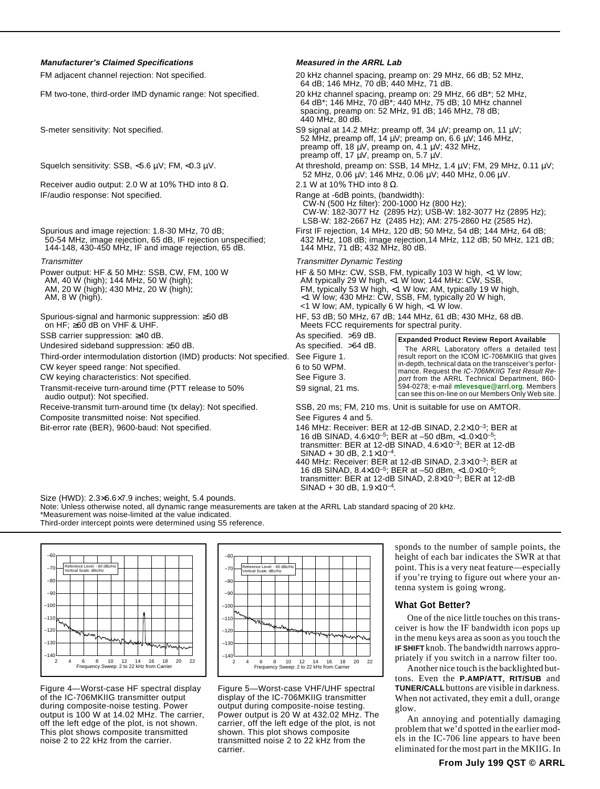#### **Manufacturer's Claimed Specifications Measured in the ARRL Lab**

Receiver audio output: 2.0 W at 10% THD into 8  $\Omega$ . 2.1 W at 10% THD into 8  $\Omega$ . IF/audio response: Not specified. The set of the Range at -6dB points, (bandwidth):

144-148, 430-450 MHz, IF and image rejection, 65 dB.

Undesired sideband suppression: ≥50 dB. As specified. >64 dB. Third-order intermodulation distortion (IMD) products: Not specified. See Figure 1.

CW keyer speed range: Not specified. 6 to 50 WPM.

CW keying characteristics: Not specified. The second seed Figure 3.

Transmit-receive turn-around time (PTT release to 50% S9 signal, 21 ms. audio output): Not specified.

Composite transmitted noise: Not specified. See Figures 4 and 5.

FM adjacent channel rejection: Not specified. 20 kHz channel spacing, preamp on: 29 MHz, 66 dB; 52 MHz, 64 dB; 146 MHz, 70 dB; 440 MHz, 71 dB.

FM two-tone, third-order IMD dynamic range: Not specified. 20 kHz channel spacing, preamp on: 29 MHz, 66 dB\*; 52 MHz, 64 dB\*; 146 MHz, 70 dB\*; 440 MHz, 75 dB; 10 MHz channel spacing, preamp on: 52 MHz, 91 dB; 146 MHz, 78 dB; 440 MHz, 80 dB.

S-meter sensitivity: Not specified. S9 signal at 14.2 MHz: preamp off, 34 µV; preamp on, 11 µV; 52 MHz, preamp off, 14  $\mu$ V; preamp on, 6.6  $\mu$ V; 146 MHz, preamp off, 18 µV, preamp on, 4.1 µV; 432 MHz, preamp off, 17  $\mu$ V, preamp on, 5.7  $\mu$ V.

Squelch sensitivity: SSB, <5.6 µV; FM, <0.3 µV. At threshold, preamp on: SSB, 14 MHz, 1.4 µV; FM, 29 MHz, 0.11 µV; 52 MHz, 0.06 µV; 146 MHz, 0.06 µV; 440 MHz, 0.06 µV.

 CW-N (500 Hz filter): 200-1000 Hz (800 Hz); CW-W: 182-3077 Hz (2895 Hz); USB-W: 182-3077 Hz (2895 Hz); LSB-W: 182-2667 Hz (2485 Hz); AM: 275-2860 Hz (2585 Hz).

Spurious and image rejection: 1.8-30 MHz, 70 dB; Spurious and image rejection, 14 MHz, 120 dB; 50 MHz, 54 dB; 144 MHz, 64 dB; 50 MHz, 64 dB; 50 MHz, 64 dB; 50 MHz, 64 dB; 50 MHz, 121 d 432 MHz, 108 dB; image rejection, 14 MHz, 112 dB; 50 MHz, 121 dB; 144 MHz, 71 dB; 432 MHz, 80 dB.

Transmitter Transmitter Dynamic Testing

Power output: HF & 50 MHz: SSB, CW, FM, 100 W HF & 50 MHz: CW, SSB, FM, typically 103 W high, <1 W low; 144 MHz: CW, SSB, AM, 40 W (high); 144 MHz. 50 W (high); AM, 40 W (high); 144 MHz, 50 W (high); AM typically 29 W high, <1 W low; 144 MHz: CW, SSB, AM, 20 W (high); AM typically 53 W high, <1 W low; AM, typically 19 W high, <1 W low; AM, typically 19 W high, <1 W low; AM, typica AM, 20 W (high); 430 MHz, 20 W (high); FM, typically 53 W high, <1 W low; AM, typically 19 W high, AM, 8 W (high). <1 W low; 430 MHz: CW, SSB, FM, typically 20 W high, <1 W low; AM, typically 6 W high, <1 W low.

Spurious-signal and harmonic suppression: ≥50 dB HF, 53 dB; 50 MHz, 67 dB; 144 MHz, 61 dB; 430 MHz, 68 dB.<br>
on HF; ≥60 dB on VHF & UHF.<br>
Meets FCC requirements for spectral purity. Meets FCC requirements for spectral purity.

SSB carrier suppression: ≥40 dB. As specified. >59 dB.

#### **Expanded Product Review Report Available**

The ARRL Laboratory offers a detailed test result report on the ICOM IC-706MKIIG that gives in-depth, technical data on the transceiver's performance. Request the IC-706MKIIG Test Result Report from the ARRL Technical Department, 860-594-0278; e-mail **[mlevesque@arrl.org](mailto:mlevesque@arrl.org)**. Members can see this on-line on our Members Only Web site.

Receive-transmit turn-around time (tx delay): Not specified. SSB, 20 ms; FM, 210 ms. Unit is suitable for use on AMTOR.

Bit-error rate (BER), 9600-baud: Not specified. 146 MHz: Receiver: BER at 12-dB SINAD, 2.2×10<sup>-3</sup>; BER at 1 16 dB SINAD, 4.6×10–5; BER at –50 dBm, <1.0×10–5; transmitter: BER at 12-dB SINAD, 4.6×10–3; BER at 12-dB  $SINAD + 30$  dB,  $2.1 \times 10^{-4}$ 

440 MHz: Receiver: BER at 12-dB SINAD, 2.3×10–3; BER at 16 dB SINAD, 8.4×10–5; BER at –50 dBm, <1.0×10–5; transmitter: BER at 12-dB SINAD, 2.8×10–3; BER at 12-dB  $SINAD + 30$  dB,  $1.9 \times 10^{-4}$ .

Size (HWD): 2.3×6.6×7.9 inches; weight, 5.4 pounds.

Note: Unless otherwise noted, all dynamic range measurements are taken at the ARRL Lab standard spacing of 20 kHz. \*Measurement was noise-limited at the value indicated.

Third-order intercept points were determined using S5 reference.



Figure 4—Worst-case HF spectral display of the IC-706MKIIG transmitter output during composite-noise testing. Power output is 100 W at 14.02 MHz. The carrier, off the left edge of the plot, is not shown. This plot shows composite transmitted noise 2 to 22 kHz from the carrier.



Figure 5—Worst-case VHF/UHF spectral display of the IC-706MKIIG transmitter output during composite-noise testing. Power output is 20 W at 432.02 MHz. The carrier, off the left edge of the plot, is not shown. This plot shows composite transmitted noise 2 to 22 kHz from the carrier.

sponds to the number of sample points, the height of each bar indicates the SWR at that point. This is a very neat feature—especially if you're trying to figure out where your antenna system is going wrong.

#### **What Got Better?**

One of the nice little touches on this transceiver is how the IF bandwidth icon pops up in the menu keys area as soon as you touch the **IF SHIFT** knob. The bandwidth narrows appropriately if you switch in a narrow filter too.

Another nice touch is the backlighted buttons. Even the **P.AMP/ATT**, **RIT/SUB** and **TUNER/CALL** buttons are visible in darkness. When not activated, they emit a dull, orange glow.

An annoying and potentially damaging problem that we'd spotted in the earlier models in the IC-706 line appears to have been eliminated for the most part in the MKIIG. In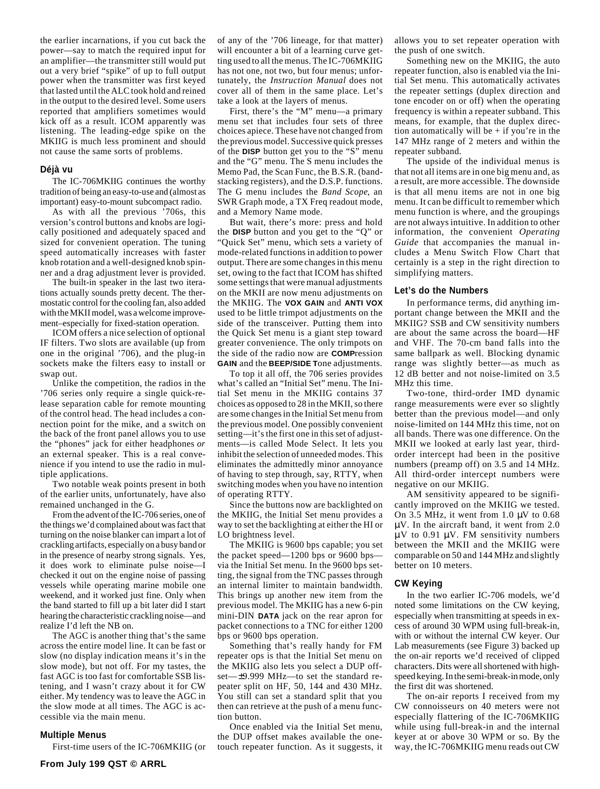the earlier incarnations, if you cut back the power—say to match the required input for an amplifier—the transmitter still would put out a very brief "spike" of up to full output power when the transmitter was first keyed that lasted until the ALC took hold and reined in the output to the desired level. Some users reported that amplifiers sometimes would kick off as a result. ICOM apparently was listening. The leading-edge spike on the MKIIG is much less prominent and should not cause the same sorts of problems.

#### **Déjà vu**

The IC-706MKIIG continues the worthy tradition of being an easy-to-use and (almost as important) easy-to-mount subcompact radio.

As with all the previous '706s, this version's control buttons and knobs are logically positioned and adequately spaced and sized for convenient operation. The tuning speed automatically increases with faster knob rotation and a well-designed knob spinner and a drag adjustment lever is provided.

The built-in speaker in the last two iterations actually sounds pretty decent. The thermostatic control for the cooling fan, also added with the MKII model, was a welcome improvement–especially for fixed-station operation.

ICOM offers a nice selection of optional IF filters. Two slots are available (up from one in the original '706), and the plug-in sockets make the filters easy to install or swap out.

Unlike the competition, the radios in the '706 series only require a single quick-release separation cable for remote mounting of the control head. The head includes a connection point for the mike, and a switch on the back of the front panel allows you to use the "phones" jack for either headphones *or* an external speaker. This is a real convenience if you intend to use the radio in multiple applications.

Two notable weak points present in both of the earlier units, unfortunately, have also remained unchanged in the G.

From the advent of the IC-706 series, one of the things we'd complained about was fact that turning on the noise blanker can impart a lot of crackling artifacts, especially on a busy band or in the presence of nearby strong signals. Yes, it does work to eliminate pulse noise—I checked it out on the engine noise of passing vessels while operating marine mobile one weekend, and it worked just fine. Only when the band started to fill up a bit later did I start hearing the characteristic crackling noise—and realize I'd left the NB on.

The AGC is another thing that's the same across the entire model line. It can be fast or slow (no display indication means it's in the slow mode), but not off. For my tastes, the fast AGC is too fast for comfortable SSB listening, and I wasn't crazy about it for CW either. My tendency was to leave the AGC in the slow mode at all times. The AGC is accessible via the main menu.

#### **Multiple Menus**

First-time users of the IC-706MKIIG (or

of any of the '706 lineage, for that matter) will encounter a bit of a learning curve getting used to all the menus. The IC-706MKIIG has not one, not two, but four menus; unfortunately, the *Instruction Manual* does not cover all of them in the same place. Let's take a look at the layers of menus.

First, there's the "M" menu—a primary menu set that includes four sets of three choices apiece. These have not changed from the previous model. Successive quick presses of the **DISP** button get you to the "S" menu and the "G" menu. The S menu includes the Memo Pad, the Scan Func, the B.S.R. (bandstacking registers), and the D.S.P. functions. The G menu includes the *Band Scope*, an SWR Graph mode, a TX Freq readout mode, and a Memory Name mode.

But wait, there's more: press and hold the **DISP** button and you get to the "Q" or "Quick Set" menu, which sets a variety of mode-related functions in addition to power output. There are some changes in this menu set, owing to the fact that ICOM has shifted some settings that were manual adjustments on the MKII are now menu adjustments on the MKIIG. The **VOX GAIN** and **ANTI VOX** used to be little trimpot adjustments on the side of the transceiver. Putting them into the Quick Set menu is a giant step toward greater convenience. The only trimpots on the side of the radio now are **COMP**ression **GAIN** and the **BEEP/SIDE T**one adjustments.

To top it all off, the 706 series provides what's called an "Initial Set" menu. The Initial Set menu in the MKIIG contains 37 choices as opposed to 28 in the MKII, so there are some changes in the Initial Set menu from the previous model. One possibly convenient setting—it's the first one in this set of adjustments—is called Mode Select. It lets you inhibit the selection of unneeded modes. This eliminates the admittedly minor annoyance of having to step through, say, RTTY, when switching modes when you have no intention of operating RTTY.

Since the buttons now are backlighted on the MKIIG, the Initial Set menu provides a way to set the backlighting at either the HI or LO brightness level.

The MKIIG is 9600 bps capable; you set the packet speed—1200 bps or 9600 bps via the Initial Set menu. In the 9600 bps setting, the signal from the TNC passes through an internal limiter to maintain bandwidth. This brings up another new item from the previous model. The MKIIG has a new 6-pin mini-DIN **DATA** jack on the rear apron for packet connections to a TNC for either 1200 bps or 9600 bps operation.

Something that's really handy for FM repeater ops is that the Initial Set menu on the MKIIG also lets you select a DUP offset—±9.999 MHz—to set the standard repeater split on HF, 50, 144 and 430 MHz. You still can set a standard split that you then can retrieve at the push of a menu function button.

Once enabled via the Initial Set menu, the DUP offset makes available the onetouch repeater function. As it suggests, it allows you to set repeater operation with the push of one switch.

Something new on the MKIIG, the auto repeater function, also is enabled via the Initial Set menu. This automatically activates the repeater settings (duplex direction and tone encoder on or off) when the operating frequency is within a repeater subband. This means, for example, that the duplex direction automatically will be  $+$  if you're in the 147 MHz range of 2 meters and within the repeater subband.

The upside of the individual menus is that not all items are in one big menu and, as a result, are more accessible. The downside is that all menu items are not in one big menu. It can be difficult to remember which menu function is where, and the groupings are not always intuitive. In addition to other information, the convenient *Operating Guide* that accompanies the manual includes a Menu Switch Flow Chart that certainly is a step in the right direction to simplifying matters.

#### **Let's do the Numbers**

In performance terms, did anything important change between the MKII and the MKIIG? SSB and CW sensitivity numbers are about the same across the board—HF and VHF. The 70-cm band falls into the same ballpark as well. Blocking dynamic range was slightly better—as much as 12 dB better and not noise-limited on 3.5 MHz this time.

Two-tone, third-order IMD dynamic range measurements were ever so slightly better than the previous model—and only noise-limited on 144 MHz this time, not on all bands. There was one difference. On the MKII we looked at early last year, thirdorder intercept had been in the positive numbers (preamp off) on 3.5 and 14 MHz. All third-order intercept numbers were negative on our MKIIG.

AM sensitivity appeared to be significantly improved on the MKIIG we tested. On 3.5 MHz, it went from 1.0  $\mu$ V to 0.68 µV. In the aircraft band, it went from 2.0  $\mu$ V to 0.91  $\mu$ V. FM sensitivity numbers between the MKII and the MKIIG were comparable on 50 and 144 MHz and slightly better on 10 meters.

#### **CW Keying**

In the two earlier IC-706 models, we'd noted some limitations on the CW keying, especially when transmitting at speeds in excess of around 30 WPM using full-break-in, with or without the internal CW keyer. Our Lab measurements (see Figure 3) backed up the on-air reports we'd received of clipped characters. Dits were all shortened with highspeed keying. In the semi-break-in mode, only the first dit was shortened.

The on-air reports I received from my CW connoisseurs on 40 meters were not especially flattering of the IC-706MKIIG while using full-break-in and the internal keyer at or above 30 WPM or so. By the way, the IC-706MKIIG menu reads out CW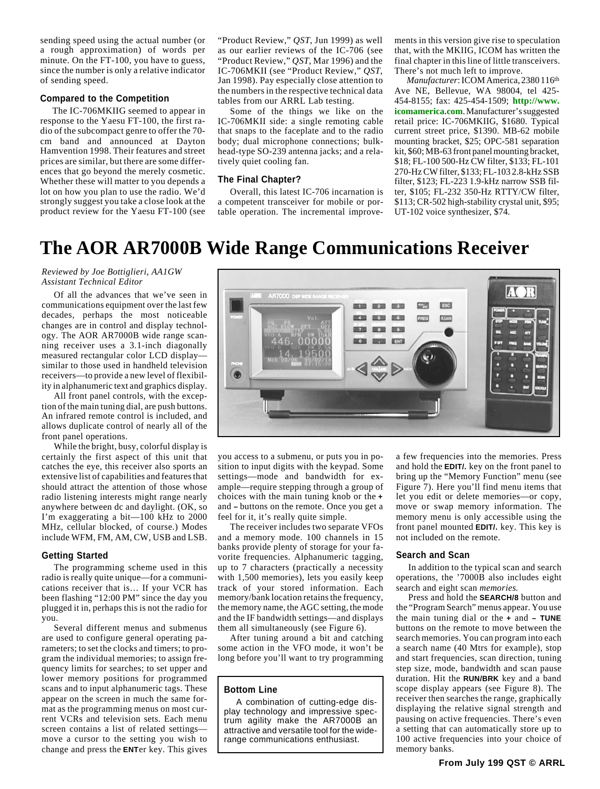<span id="page-5-0"></span>sending speed using the actual number (or a rough approximation) of words per minute. On the FT-100, you have to guess, since the number is only a relative indicator of sending speed.

#### **Compared to the Competition**

The IC-706MKIIG seemed to appear in response to the Yaesu FT-100, the first radio of the subcompact genre to offer the 70 cm band and announced at Dayton Hamvention 1998. Their features and street prices are similar, but there are some differences that go beyond the merely cosmetic. Whether these will matter to you depends a lot on how you plan to use the radio. We'd strongly suggest you take a close look at the product review for the Yaesu FT-100 (see

"Product Review," *QST*, Jun 1999) as well as our earlier reviews of the IC-706 (see "Product Review," *QST*, Mar 1996) and the IC-706MKII (see "Product Review," *QST*, Jan 1998). Pay especially close attention to the numbers in the respective technical data tables from our ARRL Lab testing.

Some of the things we like on the IC-706MKII side: a single remoting cable that snaps to the faceplate and to the radio body; dual microphone connections; bulkhead-type SO-239 antenna jacks; and a relatively quiet cooling fan.

#### **The Final Chapter?**

Overall, this latest IC-706 incarnation is a competent transceiver for mobile or portable operation. The incremental improvements in this version give rise to speculation that, with the MKIIG, ICOM has written the final chapter in this line of little transceivers. There's not much left to improve.

*Manufacturer*: ICOM America, 2380 116th Ave NE, Bellevue, WA 98004, tel 425- 454-8155; fax: 425-454-1509; **[http://www.](http://www.icomamerica.com) [icomamerica.com](http://www.icomamerica.com)**. Manufacturer's suggested retail price: IC-706MKIIG, \$1680. Typical current street price, \$1390. MB-62 mobile mounting bracket, \$25; OPC-581 separation kit, \$60; MB-63 front panel mounting bracket, \$18; FL-100 500-Hz CW filter, \$133; FL-101 270-Hz CW filter, \$133; FL-103 2.8-kHz SSB filter, \$123; FL-223 1.9-kHz narrow SSB filter, \$105; FL-232 350-Hz RTTY/CW filter, \$113; CR-502 high-stability crystal unit, \$95; UT-102 voice synthesizer, \$74.

# **The AOR AR7000B Wide Range Communications Receiver**

#### *Reviewed by Joe Bottiglieri, AA1GW Assistant Technical Editor*

Of all the advances that we've seen in communications equipment over the last few decades, perhaps the most noticeable changes are in control and display technology. The AOR AR7000B wide range scanning receiver uses a 3.1-inch diagonally measured rectangular color LCD display similar to those used in handheld television receivers—to provide a new level of flexibility in alphanumeric text and graphics display.

All front panel controls, with the exception of the main tuning dial, are push buttons. An infrared remote control is included, and allows duplicate control of nearly all of the front panel operations.

While the bright, busy, colorful display is certainly the first aspect of this unit that catches the eye, this receiver also sports an extensive list of capabilities and features that should attract the attention of those whose radio listening interests might range nearly anywhere between dc and daylight. (OK, so I'm exaggerating a bit—100 kHz to 2000 MHz, cellular blocked, of course.) Modes include WFM, FM, AM, CW, USB and LSB.

#### **Getting Started**

The programming scheme used in this radio is really quite unique—for a communications receiver that is… If your VCR has been flashing "12:00 PM" since the day you plugged it in, perhaps this is not the radio for you.

Several different menus and submenus are used to configure general operating parameters; to set the clocks and timers; to program the individual memories; to assign frequency limits for searches; to set upper and lower memory positions for programmed scans and to input alphanumeric tags. These appear on the screen in much the same format as the programming menus on most current VCRs and television sets. Each menu screen contains a list of related settings move a cursor to the setting you wish to change and press the **ENT**er key. This gives



you access to a submenu, or puts you in position to input digits with the keypad. Some settings—mode and bandwidth for example—require stepping through a group of choices with the main tuning knob or the **+** and **–** buttons on the remote. Once you get a feel for it, it's really quite simple.

The receiver includes two separate VFOs and a memory mode. 100 channels in 15 banks provide plenty of storage for your favorite frequencies. Alphanumeric tagging, up to 7 characters (practically a necessity with 1,500 memories), lets you easily keep track of your stored information. Each memory/bank location retains the frequency, the memory name, the AGC setting, the mode and the IF bandwidth settings—and displays them all simultaneously (see Figure 6).

After tuning around a bit and catching some action in the VFO mode, it won't be long before you'll want to try programming

#### **Bottom Line**

A combination of cutting-edge display technology and impressive spectrum agility make the AR7000B an attractive and versatile tool for the widerange communications enthusiast.

a few frequencies into the memories. Press and hold the **EDIT/.** key on the front panel to bring up the "Memory Function" menu (see Figure 7). Here you'll find menu items that let you edit or delete memories—or copy, move or swap memory information. The memory menu is only accessible using the front panel mounted **EDIT/.** key. This key is not included on the remote.

#### **Search and Scan**

In addition to the typical scan and search operations, the '7000B also includes eight search and eight scan *memories*.

Press and hold the **SEARCH/8** button and the "Program Search" menus appear. You use the main tuning dial or the **+** and **– TUNE** buttons on the remote to move between the search memories. You can program into each a search name (40 Mtrs for example), stop and start frequencies, scan direction, tuning step size, mode, bandwidth and scan pause duration. Hit the **RUN/BRK** key and a band scope display appears (see Figure 8). The receiver then searches the range, graphically displaying the relative signal strength and pausing on active frequencies. There's even a setting that can automatically store up to 100 active frequencies into your choice of memory banks.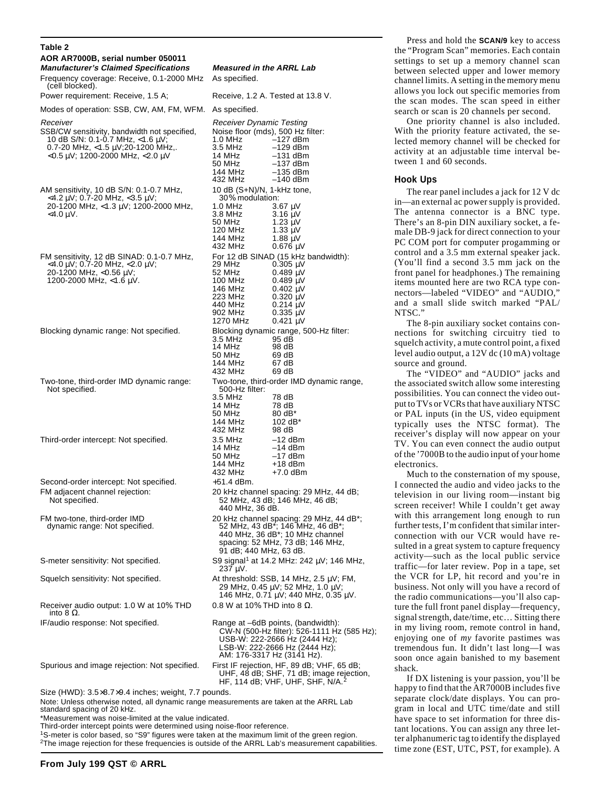#### **Table 2**

| Table 2                                                                                                                                                                  |                                                                                                                                                                                                                                                     |  |  |
|--------------------------------------------------------------------------------------------------------------------------------------------------------------------------|-----------------------------------------------------------------------------------------------------------------------------------------------------------------------------------------------------------------------------------------------------|--|--|
| AOR AR7000B, serial number 050011<br><b>Manufacturer's Claimed Specifications</b><br>Frequency coverage: Receive, 0.1-2000 MHz                                           | <b>Measured in the ARRL Lab</b><br>As specified.                                                                                                                                                                                                    |  |  |
| (cell blocked).<br>Power requirement: Receive, 1.5 A;                                                                                                                    | Receive, 1.2 A. Tested at 13.8 V.                                                                                                                                                                                                                   |  |  |
| Modes of operation: SSB, CW, AM, FM, WFM.                                                                                                                                | As specified.                                                                                                                                                                                                                                       |  |  |
| Receiver                                                                                                                                                                 | Receiver Dynamic Testing                                                                                                                                                                                                                            |  |  |
| SSB/CW sensitivity, bandwidth not specified,<br>10 dB S/N: 0.1-0.7 MHz, <1.6 μV;<br>0.7-20 MHz, <1.5 μV;20-1200 MHz,.<br>$<$ 0.5 $\mu$ V; 1200-2000 MHz, $<$ 2.0 $\mu$ V | Noise floor (mds), 500 Hz filter:<br>1.0 MHz<br>–127 dBm<br>$-129$ dBm<br>3.5 MHz<br>14 MHz<br>$-131$ dBm<br>50 MHz<br>$-137$ dBm<br>144 MHz<br>$-135$ dBm<br>432 MHz<br>–140 dBm                                                                   |  |  |
| AM sensitivity, 10 dB S/N: 0.1-0.7 MHz,<br><4.2 μV; 0.7-20 MHz, <3.5 μV;<br>20-1200 MHz, <1.3 μV; 1200-2000 MHz,<br><4.0 μV.                                             | 10 dB (S+N)/N, 1-kHz tone,<br>30% modulation:<br>1.0 MHz<br>3.67 µV<br>3.8 MHz<br>$3.16 \mu V$<br>50 MHz<br>1.23 $\mu$ V<br>120 MHz<br>1.33 $\mu$ V<br>144 MHz<br>$1.88 \mu V$<br>432 MHz<br>$0.676 \mu V$                                          |  |  |
| FM sensitivity, 12 dB SINAD: 0.1-0.7 MHz,<br>$<$ 4.0 µV; 0.7-20 MHz, $<$ 2.0 µV;<br>20-1200 MHz, <0.56 μV;<br>1200-2000 MHz, $<$ 1.6 $\mu$ V.                            | For 12 dB SINAD (15 kHz bandwidth):<br>29 MHz<br>$0.305 \mu V$<br>52 MHz<br>$0.489 \mu V$<br>100 MHz<br>0.489 uV<br>146 MHz<br>$0.402 \mu V$<br>223 MHz<br>$0.320 \mu V$<br>440 MHz<br>0.214 µV<br>902 MHz<br>0.335 µV<br>1270 MHz<br>$0.421 \mu V$ |  |  |
| Blocking dynamic range: Not specified.                                                                                                                                   | Blocking dynamic range, 500-Hz filter:<br>3.5 MHz<br>95 dB<br>14 MHz<br>98 dB<br>50 MHz<br>69 dB<br>144 MHz<br>67 dB<br>432 MHz<br>69 dB                                                                                                            |  |  |
| Two-tone, third-order IMD dynamic range:<br>Not specified.                                                                                                               | Two-tone, third-order IMD dynamic range,<br>500-Hz filter:<br>3.5 MHz<br>78 dB<br>14 MHz<br>78 dB<br>50 MHz<br>$80 \text{ dB}^*$<br>144 MHz<br>102 $dB^*$<br>432 MHz<br>98 dB                                                                       |  |  |
| Third-order intercept: Not specified.                                                                                                                                    | 3.5 MHz<br>–12 dBm<br>14 MHz<br>$-14$ dBm<br>$-17$ dBm<br>50 MHz<br>144 MHz<br>$+18$ dBm<br>432 MHz<br>+7.0 dBm                                                                                                                                     |  |  |
| Second-order intercept: Not specified.<br>FM adjacent channel rejection:<br>Not specified.                                                                               | +51.4 dBm.<br>20 kHz channel spacing: 29 MHz, 44 dB;<br>52 MHz, 43 dB; 146 MHz, 46 dB;<br>440 MHz, 36 dB.                                                                                                                                           |  |  |
| FM two-tone, third-order IMD<br>dynamic range: Not specified.                                                                                                            | 20 kHz channel spacing: 29 MHz, 44 dB*;<br>52 MHz, 43 dB <sup>*</sup> ; 146 MHz, 46 dB <sup>*</sup> ;<br>440 MHz, 36 dB <sup>*</sup> ; 10 MHz channel<br>spacing: 52 MHz, 73 dB; 146 MHz,<br>91 dB; 440 MHz, 63 dB.                                 |  |  |
| S-meter sensitivity: Not specified.                                                                                                                                      | S9 signal <sup>1</sup> at 14.2 MHz: 242 μV; 146 MHz,<br>$237 \mu V$ .                                                                                                                                                                               |  |  |
| Squelch sensitivity: Not specified.                                                                                                                                      | At threshold: $SSB$ , 14 MHz, 2.5 $\mu$ V; FM,<br>29 MHz, 0.45 μV; 52 MHz, 1.0 μV;<br>146 MHz, 0.71 μV; 440 MHz, 0.35 μV.                                                                                                                           |  |  |
| Receiver audio output: 1.0 W at 10% THD<br>into 8 Ω.                                                                                                                     | 0.8 W at 10% THD into 8 $\Omega$ .                                                                                                                                                                                                                  |  |  |
| IF/audio response: Not specified.                                                                                                                                        | Range at -6dB points, (bandwidth):<br>CW-N (500-Hz filter): 526-1111 Hz (585 Hz);<br>USB-W: 222-2666 Hz (2444 Hz);<br>LSB-W: 222-2666 Hz (2444 Hz);<br>AM: 176-3317 Hz (3141 Hz).                                                                   |  |  |
| Spurious and image rejection: Not specified.                                                                                                                             | First IF rejection, HF, 89 dB; VHF, 65 dB;<br>UHF, 48 dB; SHF, 71 dB; image rejection,<br>HF, 114 dB; VHF, UHF, SHF, N/A. <sup>2</sup>                                                                                                              |  |  |
| Size (HWD): 3.5×8.7×9.4 inches; weight, 7.7 pounds.<br>Note: Unless otherwise noted, all dynamic range measurements are taken at the ARRL Lab                            |                                                                                                                                                                                                                                                     |  |  |

standard spacing of 20 kHz. \*Measurement was noise-limited at the value indicated.

Third-order intercept points were determined using noise-floor reference.

1S-meter is color based, so "S9" figures were taken at the maximum limit of the green region. 2The image rejection for these frequencies is outside of the ARRL Lab's measurement capabilities.

## **Manufacturer's Claim** 1.2 A. Tested at 13.8 V. **Dynamic Testing**  $-129$  dBm  $-131$  dBm  $-137$  dBm  $-135$  dBm  $-140$  dBm +N)/N. 1-kHz tone. odúlation:<br>3.67 µV  $3.16 \mu V$  $1.23 \mu V$ 1.33  $\mu$ V 1.88  $\mu$ V

| 3.5 MHz | 78 dB     |  |
|---------|-----------|--|
| 14 MHz  | 78 dB     |  |
| 50 MHz  | 80 dB*    |  |
| 144 MHz | 102 $dB*$ |  |
| 432 MHz | 98 dB     |  |
| 3.5 MHz | $-12$ dBm |  |
| 14 MHz  | $-14$ dBm |  |
| 50 MHz  | $-17$ dBm |  |
| 144 MHz | $+18$ dBm |  |

Press and hold the **SCAN/9** key to access the "Program Scan" memories. Each contain settings to set up a memory channel scan between selected upper and lower memory channel limits. A setting in the memory menu allows you lock out specific memories from the scan modes. The scan speed in either search or scan is 20 channels per second.

One priority channel is also included. With the priority feature activated, the selected memory channel will be checked for activity at an adjustable time interval between 1 and 60 seconds.

#### **Hook Ups**

The rear panel includes a jack for 12 V dc in—an external ac power supply is provided. The antenna connector is a BNC type. There's an 8-pin DIN auxiliary socket, a female DB-9 jack for direct connection to your PC COM port for computer progamming or control and a 3.5 mm external speaker jack. (You'll find a second 3.5 mm jack on the front panel for headphones.) The remaining items mounted here are two RCA type connectors—labeled "VIDEO" and "AUDIO," and a small slide switch marked "PAL/ NTSC."

The 8-pin auxiliary socket contains connections for switching circuitry tied to squelch activity, a mute control point, a fixed level audio output, a 12V dc (10 mA) voltage source and ground.

The "VIDEO" and "AUDIO" jacks and the associated switch allow some interesting possibilities. You can connect the video output to TVs or VCRs that have auxiliary NTSC or PAL inputs (in the US, video equipment typically uses the NTSC format). The receiver's display will now appear on your TV. You can even connect the audio output of the '7000B to the audio input of your home electronics.

Much to the consternation of my spouse, I connected the audio and video jacks to the television in our living room—instant big screen receiver! While I couldn't get away with this arrangement long enough to run further tests, I'm confident that similar interconnection with our VCR would have resulted in a great system to capture frequency activity—such as the local public service traffic—for later review. Pop in a tape, set the VCR for LP, hit record and you're in business. Not only will you have a record of the radio communications—you'll also capture the full front panel display—frequency, signal strength, date/time, etc… Sitting there in my living room, remote control in hand, enjoying one of *my* favorite pastimes was tremendous fun. It didn't last long—I was soon once again banished to my basement shack.

If DX listening is your passion, you'll be happy to find that the AR7000B includes five separate clock/date displays. You can program in local and UTC time/date and still have space to set information for three distant locations. You can assign any three letter alphanumeric tag to identify the displayed time zone (EST, UTC, PST, for example). A